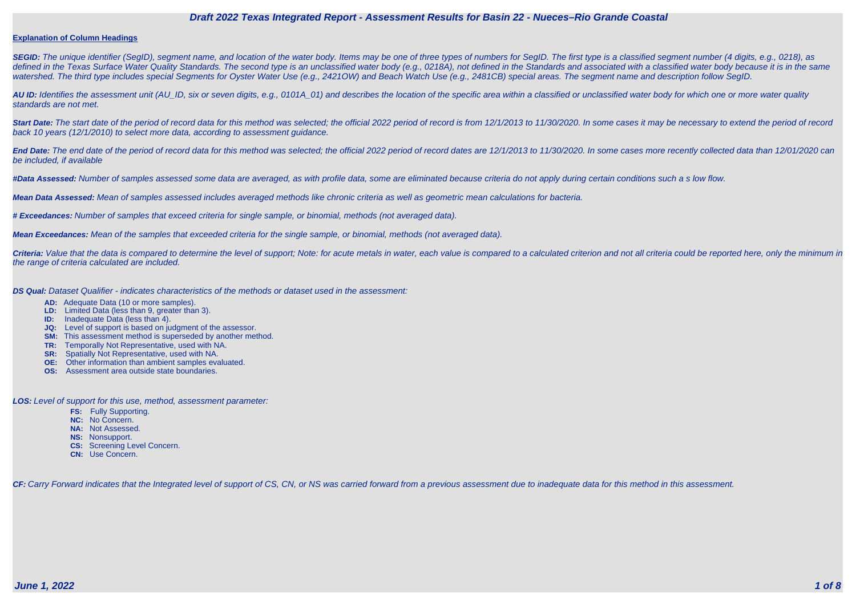#### **Explanation of Column Headings**

SEGID: The unique identifier (SegID), segment name, and location of the water body. Items may be one of three types of numbers for SegID. The first type is a classified segment number (4 digits, e.g., 0218), as defined in the Texas Surface Water Quality Standards. The second type is an unclassified water body (e.g., 0218A), not defined in the Standards and associated with a classified water body because it is in the same watershed. The third type includes special Segments for Oyster Water Use (e.g., 2421OW) and Beach Watch Use (e.g., 2481CB) special areas. The segment name and description follow SegID.

**AU ID:** Identifies the assessment unit (AU\_ID, six or seven digits, e.g., 0101A\_01) and describes the location of the specific area within a classified or unclassified water body for which one or more water quality standards are not met.

Start Date: The start date of the period of record data for this method was selected; the official 2022 period of record is from 12/1/2013 to 11/30/2020. In some cases it may be necessary to extend the period of record back 10 years (12/1/2010) to select more data, according to assessment guidance.

End Date: The end date of the period of record data for this method was selected; the official 2022 period of record dates are 12/1/2013 to 11/30/2020. In some cases more recently collected data than 12/01/2020 can be included, if available

Criteria: Value that the data is compared to determine the level of support; Note: for acute metals in water, each value is compared to a calculated criterion and not all criteria could be reported here, only the minimum i the range of criteria calculated are included.

**#Data Assessed:** Number of samples assessed some data are averaged, as with profile data, some are eliminated because criteria do not apply during certain conditions such a s low flow.

**Mean Data Assessed:** Mean of samples assessed includes averaged methods like chronic criteria as well as geometric mean calculations for bacteria.

**# Exceedances:** Number of samples that exceed criteria for single sample, or binomial, methods (not averaged data).

**Mean Exceedances:** Mean of the samples that exceeded criteria for the single sample, or binomial, methods (not averaged data).

**DS Qual:** Dataset Qualifier - indicates characteristics of the methods or dataset used in the assessment:

- **AD:** Adequate Data (10 or more samples).
- **LD:** Limited Data (less than 9, greater than 3).
- **ID:** Inadequate Data (less than 4).
- **JQ:** Level of support is based on judgment of the assessor.
- **SM:** This assessment method is superseded by another method.
- **TR:** Temporally Not Representative, used with NA.
- **SR:** Spatially Not Representative, used with NA.
- **OE:** Other information than ambient samples evaluated.
- **OS:** Assessment area outside state boundaries.

**LOS:** Level of support for this use, method, assessment parameter:

- **FS:** Fully Supporting.
- **NC:** No Concern.
- **NA:** Not Assessed.
- **NS:** Nonsupport.
- **CS:** Screening Level Concern.
- **CN:** Use Concern.

CF: Carry Forward indicates that the Integrated level of support of CS, CN, or NS was carried forward from a previous assessment due to inadequate data for this method in this assessment.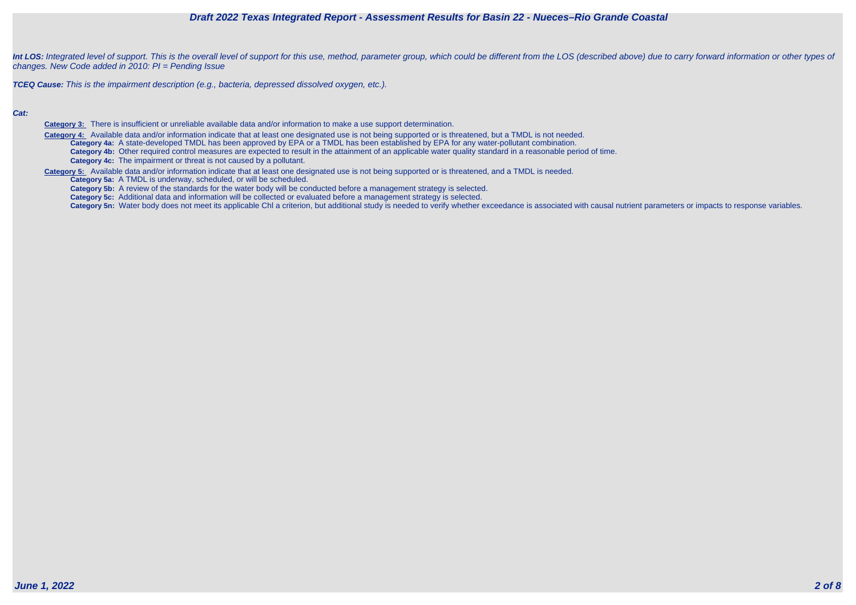



Int LOS: Integrated level of support. This is the overall level of support for this use, method, parameter group, which could be different from the LOS (described above) due to carry forward information or other types of changes. New Code added in 2010: PI = Pending Issue

**TCEQ Cause:** This is the impairment description (e.g., bacteria, depressed dissolved oxygen, etc.).

#### **Cat:**

**Category 3:** There is insufficient or unreliable available data and/or information to make a use support determination.

Category 4: Available data and/or information indicate that at least one designated use is not being supported or is threatened, but a TMDL is not needed. **Category 4a:** A state-developed TMDL has been approved by EPA or a TMDL has been established by EPA for any water-pollutant combination. **Category 4b:** Other required control measures are expected to result in the attainment of an applicable water quality standard in a reasonable period of time. **Category 4c:** The impairment or threat is not caused by a pollutant.

**Category 5:** Available data and/or information indicate that at least one designated use is not being supported or is threatened, and a TMDL is needed.

**Category 5a:** A TMDL is underway, scheduled, or will be scheduled.

**Category 5b:** A review of the standards for the water body will be conducted before a management strategy is selected.

**Category 5c:** Additional data and information will be collected or evaluated before a management strategy is selected.

Category 5n: Water body does not meet its applicable Chl a criterion, but additional study is needed to verify whether exceedance is associated with causal nutrient parameters or impacts to response variables.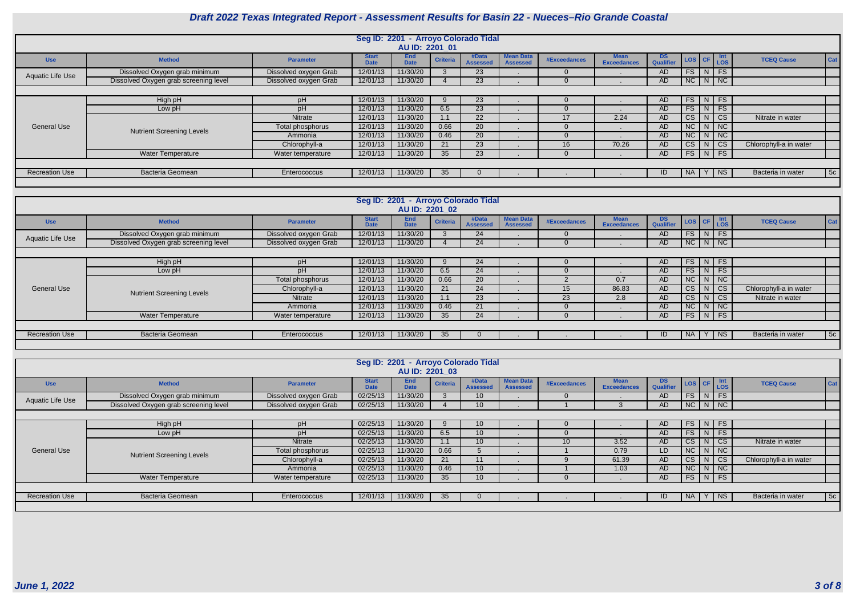

|                         |                                       |                       |                             | Seg ID: 2201 - Arroyo Colorado Tidal |                 |                          |                                     |              |                                   |                 |                      |                          |                          |    |
|-------------------------|---------------------------------------|-----------------------|-----------------------------|--------------------------------------|-----------------|--------------------------|-------------------------------------|--------------|-----------------------------------|-----------------|----------------------|--------------------------|--------------------------|----|
|                         |                                       |                       |                             | AU ID: 2201 01                       |                 |                          |                                     |              |                                   |                 |                      |                          |                          |    |
| <b>Use</b>              | <b>Method</b>                         | <b>Parameter</b>      | <b>Start</b><br><b>Date</b> | <b>End</b><br><b>Date</b>            | <b>Criteria</b> | #Data<br><b>Assessed</b> | <b>Mean Data</b><br><b>Assessed</b> | #Exceedances | <b>Mean</b><br><b>Exceedances</b> | DS<br>Qualifier | LOS CF LOS           |                          | Cat<br><b>TCEQ Cause</b> |    |
| <b>Aquatic Life Use</b> | Dissolved Oxygen grab minimum         | Dissolved oxygen Grab | 12/01/13                    | 11/30/20                             |                 | 23                       |                                     |              |                                   | AD.             | $FS$   N             | FS                       |                          |    |
|                         | Dissolved Oxygen grab screening level | Dissolved oxygen Grab | 12/01/13                    | 11/30/20                             |                 | 23                       |                                     |              |                                   | AD.             | $NC$ $N$ $NC$        |                          |                          |    |
|                         |                                       |                       |                             |                                      |                 |                          |                                     |              |                                   |                 |                      |                          |                          |    |
|                         | High pH                               | pH                    | 12/01/13                    | 11/30/20                             |                 | 23                       |                                     |              |                                   | AD.             | $FS$   N   FS        |                          |                          |    |
|                         | Low pH                                | рH                    | 12/01/13                    | 11/30/20                             | 6.5             | 23                       |                                     |              |                                   | AD.             | FS<br>N              | <b>FS</b>                |                          |    |
|                         |                                       | Nitrate               | 12/01/13                    | 11/30/20                             | 1.1             | $22^{\circ}$             |                                     |              | 2.24                              | AD.             | $CS$ $N$             | $\overline{c}$           | Nitrate in water         |    |
| <b>General Use</b>      | <b>Nutrient Screening Levels</b>      | Total phosphorus      | 12/01/13                    | 11/30/20                             | 0.66            | 20                       |                                     |              |                                   | AD.             | NC N NC              |                          |                          |    |
|                         |                                       | Ammonia               | 12/01/13                    | 11/30/20                             | 0.46            | 20                       |                                     |              |                                   | AD.             | NC<br>N              | $\overline{\mathsf{Nc}}$ |                          |    |
|                         |                                       | Chlorophyll-a         | 12/01/13                    | 11/30/20                             | 21              | 23                       |                                     | 16           | 70.26                             | AD.             | CS<br>$\mathsf{N}$   | $\overline{\text{cs}}$   | Chlorophyll-a in water   |    |
|                         | <b>Water Temperature</b>              | Water temperature     | 12/01/13                    | 11/30/20                             | 35              | 23                       |                                     |              |                                   | AD.             | $FS$ $N$ $FS$        |                          |                          |    |
|                         |                                       |                       |                             |                                      |                 |                          |                                     |              |                                   |                 |                      |                          |                          |    |
| <b>Recreation Use</b>   | <b>Bacteria Geomean</b>               | Enterococcus          | 12/01/13                    | 11/30/20                             | 35              |                          |                                     |              |                                   | ID.             | NA  <br>$\mathsf{Y}$ | $ $ NS                   | Bacteria in water        | 5c |
|                         |                                       |                       |                             |                                      |                 |                          |                                     |              |                                   |                 |                      |                          |                          |    |

|                       |                                       |                       |                             | Seg ID: 2201 - Arroyo Colorado Tidal |                 |                          |                                     |              |                                   |                 |             |                                                            |                        |     |
|-----------------------|---------------------------------------|-----------------------|-----------------------------|--------------------------------------|-----------------|--------------------------|-------------------------------------|--------------|-----------------------------------|-----------------|-------------|------------------------------------------------------------|------------------------|-----|
|                       |                                       |                       |                             | AU ID: 2201 02                       |                 |                          |                                     |              |                                   |                 |             |                                                            |                        |     |
| <b>Use</b>            | <b>Method</b>                         | <b>Parameter</b>      | <b>Start</b><br><b>Date</b> | <b>End</b><br><b>Date</b>            | <b>Criteria</b> | #Data<br><b>Assessed</b> | <b>Mean Data</b><br><b>Assessed</b> | #Exceedances | <b>Mean</b><br><b>Exceedances</b> | DS<br>Qualifier |             | $\textsf{LOS}$ $\textsf{CF}$ $\textsf{Int}$ $\textsf{LOS}$ | <b>TCEQ Cause</b>      | Cat |
| Aquatic Life Use      | Dissolved Oxygen grab minimum         | Dissolved oxygen Grab | 12/01/13                    | 11/30/20                             |                 | 24                       |                                     |              |                                   | AD.             | $FS$ $N$    | FS                                                         |                        |     |
|                       | Dissolved Oxygen grab screening level | Dissolved oxygen Grab | 12/01/13                    | 11/30/20                             |                 | 24                       |                                     |              |                                   | AD.             |             | $NC$ $N$ $NC$                                              |                        |     |
|                       |                                       |                       |                             |                                      |                 |                          |                                     |              |                                   |                 |             |                                                            |                        |     |
|                       | High pH                               | pH                    | 12/01/13                    | 11/30/20                             |                 | 24                       |                                     |              |                                   | AD.             |             | $FS$ N FS                                                  |                        |     |
|                       | Low pH                                | pH                    | 12/01/13                    | 11/30/20                             | 6.5             | 24                       |                                     |              |                                   | AD.             | $FS$   N    | FS                                                         |                        |     |
|                       |                                       | Total phosphorus      | 12/01/13                    | 11/30/20                             | 0.66            | 20                       |                                     |              | 0.7                               | AD.             | $NC \mid N$ | N                                                          |                        |     |
| <b>General Use</b>    | <b>Nutrient Screening Levels</b>      | Chlorophyll-a         | 12/01/13                    | 11/30/20                             | 21              | 24                       |                                     | 15           | 86.83                             | AD              | $CS$   N    | CS                                                         | Chlorophyll-a in water |     |
|                       |                                       | Nitrate               | 12/01/13                    | 11/30/20                             | 1.1             | 23                       |                                     | 23           | 2.8                               | AD.             | $CS$   N    | CS                                                         | Nitrate in water       |     |
|                       |                                       | Ammonia               | 12/01/13                    | 11/30/20                             | 0.46            | 21                       |                                     |              |                                   | AD.             | $NC$   $N$  | $\overline{\phantom{a}}$ NC                                |                        |     |
|                       | <b>Water Temperature</b>              | Water temperature     | 12/01/13                    | 11/30/20                             | 35              | 24                       |                                     |              |                                   | AD.             |             | $FS$ $N$ $FS$                                              |                        |     |
|                       |                                       |                       |                             |                                      |                 |                          |                                     |              |                                   |                 |             |                                                            |                        |     |
| <b>Recreation Use</b> | <b>Bacteria Geomean</b>               | Enterococcus          | 12/01/13                    | 11/30/20                             | 35              | 0                        |                                     |              |                                   | ID.             | $NA$   $Y$  | $ $ NS                                                     | Bacteria in water      | 5c  |
|                       |                                       |                       |                             |                                      |                 |                          |                                     |              |                                   |                 |             |                                                            |                        |     |

|                       |                                       |                       |                             | Seg ID: 2201 - Arroyo Colorado Tidal |                 |                          |                                     |              |                                   |                        |            |   |                             |                          |
|-----------------------|---------------------------------------|-----------------------|-----------------------------|--------------------------------------|-----------------|--------------------------|-------------------------------------|--------------|-----------------------------------|------------------------|------------|---|-----------------------------|--------------------------|
|                       |                                       |                       |                             | AU ID: 2201 03                       |                 |                          |                                     |              |                                   |                        |            |   |                             |                          |
| <b>Use</b>            | <b>Method</b>                         | <b>Parameter</b>      | <b>Start</b><br><b>Date</b> | <b>End</b><br><b>Date</b>            | <b>Criteria</b> | #Data<br><b>Assessed</b> | <b>Mean Data</b><br><b>Assessed</b> | #Exceedances | <b>Mean</b><br><b>Exceedances</b> | <b>DS</b><br>Qualifier | LOS CF Int |   |                             | Cat<br><b>TCEQ Cause</b> |
| Aquatic Life Use      | Dissolved Oxygen grab minimum         | Dissolved oxygen Grab | 02/25/13                    | 11/30/20                             |                 | 10                       |                                     |              |                                   | AD.                    | FS         | N | $\overline{\phantom{a}}$ FS |                          |
|                       | Dissolved Oxygen grab screening level | Dissolved oxygen Grab | 02/25/13                    | 11/30/20                             |                 | 10                       |                                     |              |                                   | AD.                    |            |   | $NC$   N   NC               |                          |
|                       |                                       |                       |                             |                                      |                 |                          |                                     |              |                                   |                        |            |   |                             |                          |
|                       | High pH                               | pH                    | 02/25/13                    | 11/30/20                             |                 | 10                       |                                     |              |                                   | AD.                    | FS         |   | $N$ FS                      |                          |
|                       | Low pH                                | рH                    | 02/25/13                    | 11/30/20                             | 6.5             | $10-1$                   |                                     |              |                                   | AD.                    | FS         |   | $N$ FS                      |                          |
|                       |                                       | Nitrate               | 02/25/13                    | 11/30/20                             | 1.1             | 10                       |                                     | 10           | 3.52                              | AD.                    | CS         | N | $\overline{\phantom{a}}$ CS | Nitrate in water         |
| <b>General Use</b>    | <b>Nutrient Screening Levels</b>      | Total phosphorus      | 02/25/13                    | 11/30/20                             | 0.66            | $\mathcal{D}$            |                                     |              | 0.79                              | LD                     |            |   | $NC$   $N$   $NC$           |                          |
|                       |                                       | Chlorophyll-a         | 02/25/13                    | 11/30/20                             | 21              | 11                       |                                     |              | 61.39                             | AD.                    | $CS$       | N | $\overline{\phantom{a}}$ CS | Chlorophyll-a in water   |
|                       |                                       | Ammonia               | 02/25/13                    | 11/30/20                             | 0.46            | 10 <sup>1</sup>          |                                     |              | 1.03                              | AD.                    |            |   | $NC$ $N$ $NC$               |                          |
|                       | <b>Water Temperature</b>              | Water temperature     | 02/25/13                    | 11/30/20                             | 35              | 10 <sup>°</sup>          |                                     |              |                                   | AD.                    |            |   | $FS$ $N$ $FS$               |                          |
|                       |                                       |                       |                             |                                      |                 |                          |                                     |              |                                   |                        |            |   |                             |                          |
| <b>Recreation Use</b> | <b>Bacteria Geomean</b>               | Enterococcus          | 12/01/13                    | 11/30/20                             | 35              | 0                        |                                     |              |                                   | ID                     | NA Y       |   | $ $ NS $ $                  | 5c <br>Bacteria in water |
|                       |                                       |                       |                             |                                      |                 |                          |                                     |              |                                   |                        |            |   |                             |                          |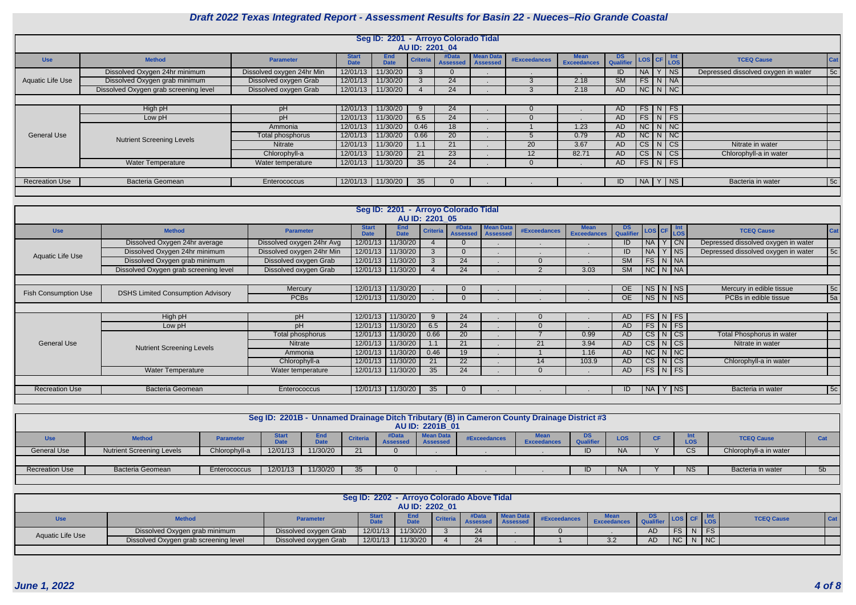

|                       |                                       |                           |                             | Seg ID: 2201 - Arroyo Colorado Tidal |                 |                          |                                     |                   |                                   |                               |                    |        |                                     |            |
|-----------------------|---------------------------------------|---------------------------|-----------------------------|--------------------------------------|-----------------|--------------------------|-------------------------------------|-------------------|-----------------------------------|-------------------------------|--------------------|--------|-------------------------------------|------------|
|                       |                                       |                           |                             |                                      | AU ID: 2201 04  |                          |                                     |                   |                                   |                               |                    |        |                                     |            |
| <b>Use</b>            | <b>Method</b>                         | <b>Parameter</b>          | <b>Start</b><br><b>Date</b> | <b>End</b><br><b>Date</b>            | <b>Criteria</b> | #Data<br><b>Assessed</b> | <b>Mean Data</b><br><b>Assessed</b> | #Exceedances      | <b>Mean</b><br><b>Exceedances</b> | <b>DS</b><br><b>Qualifier</b> | LOS CF Int         |        | <b>TCEQ Cause</b>                   | <b>Cat</b> |
|                       | Dissolved Oxygen 24hr minimum         | Dissolved oxygen 24hr Min | 12/01/13                    | 11/30/20                             |                 | $\Omega$                 |                                     |                   |                                   | ID.                           | NA                 | $ $ NS | Depressed dissolved oxygen in water | 5c         |
| Aquatic Life Use      | Dissolved Oxygen grab minimum         | Dissolved oxygen Grab     | 12/01/13                    | 11/30/20                             |                 | 24                       |                                     |                   | 2.18                              | $\overline{\text{SM}}$        | $FS$ $N$ $NA$      |        |                                     |            |
|                       | Dissolved Oxygen grab screening level | Dissolved oxygen Grab     | 12/01/13                    | 11/30/20                             |                 | 24                       |                                     |                   | 2.18                              | AD                            | $NC$ $N$ $NC$      |        |                                     |            |
|                       |                                       |                           |                             |                                      |                 |                          |                                     |                   |                                   |                               |                    |        |                                     |            |
|                       | High pH                               | pH                        | 12/01/13                    | 11/30/20                             |                 | 24                       |                                     |                   |                                   | AD.                           | $FS\mid N \mid FS$ |        |                                     |            |
|                       | Low pH                                | pH                        | 12/01/13                    | 11/30/20                             | 6.5             | 24                       |                                     |                   |                                   | AD.                           | $FS\mid N \mid FS$ |        |                                     |            |
|                       |                                       | Ammonia                   | 12/01/13                    | 11/30/20                             | 0.46            | 18                       |                                     |                   | 1.23                              | AD.                           | $NC$ $N$ $NC$      |        |                                     |            |
| <b>General Use</b>    | <b>Nutrient Screening Levels</b>      | Total phosphorus          | 12/01/13                    | 11/30/20                             | 0.66            | 20                       |                                     |                   | 0.79                              | AD.                           | $NC$ $N$ $NC$      |        |                                     |            |
|                       |                                       | Nitrate                   | 12/01/13                    | 11/30/20                             |                 | 21                       |                                     | <b>20</b>         | 3.67                              | AD.                           | $CS$ $N$ $CS$      |        | Nitrate in water                    |            |
|                       |                                       | Chlorophyll-a             | 12/01/13                    | 11/30/20                             | 21              | 23                       |                                     | $12 \overline{ }$ | 82.71                             | AD                            | $CS$ N $CS$        |        | Chlorophyll-a in water              |            |
|                       | <b>Water Temperature</b>              | Water temperature         | 12/01/13                    | 11/30/20                             | 35              | 24                       |                                     |                   |                                   | AD                            | $FS$ $N$ $FS$      |        |                                     |            |
|                       |                                       |                           |                             |                                      |                 |                          |                                     |                   |                                   |                               |                    |        |                                     |            |
| <b>Recreation Use</b> | <b>Bacteria Geomean</b>               | Enterococcus              |                             | 12/01/13 11/30/20                    | 35              | $\Omega$                 |                                     |                   |                                   | ID                            | NA Y NS            |        | Bacteria in water                   | 5c         |
|                       |                                       |                           |                             |                                      |                 |                          |                                     |                   |                                   |                               |                    |        |                                     |            |

|                             |                                          |                           |                             | Seg ID: 2201 - Arroyo Colorado Tidal | AU ID: 2201 05  |                          |                                     |                     |                                   |                               |                        |                                  |                                     |                 |
|-----------------------------|------------------------------------------|---------------------------|-----------------------------|--------------------------------------|-----------------|--------------------------|-------------------------------------|---------------------|-----------------------------------|-------------------------------|------------------------|----------------------------------|-------------------------------------|-----------------|
| <b>Use</b>                  | <b>Method</b>                            | <b>Parameter</b>          | <b>Start</b><br><b>Date</b> | <b>End</b><br><b>Date</b>            | <b>Criteria</b> | #Data<br><b>Assessed</b> | <b>Mean Data</b><br><b>Assessed</b> | <b>#Exceedances</b> | <b>Mean</b><br><b>Exceedances</b> | <b>DS</b><br><b>Qualifier</b> | LOS CF                 | Int<br><b>LOS</b>                | <b>TCEQ Cause</b>                   | Cat             |
|                             | Dissolved Oxygen 24hr average            | Dissolved oxygen 24hr Avg | 12/01/13                    | 11/30/20                             |                 |                          |                                     |                     |                                   | ID                            | <b>NA</b>              | CN                               | Depressed dissolved oxygen in water |                 |
| Aquatic Life Use            | Dissolved Oxygen 24hr minimum            | Dissolved oxygen 24hr Min | 12/01/13                    | 11/30/20                             |                 |                          |                                     |                     |                                   | ID                            | <b>NA</b>              | $Y$   NS                         | Depressed dissolved oxygen in water | 5c              |
|                             | Dissolved Oxygen grab minimum            | Dissolved oxygen Grab     | 12/01/13                    | 11/30/20                             |                 | 24                       |                                     | $\overline{0}$      |                                   | <b>SM</b>                     | FS                     | N   NA                           |                                     |                 |
|                             | Dissolved Oxygen grab screening level    | Dissolved oxygen Grab     | 12/01/13                    | 11/30/20                             |                 | $\overline{24}$          |                                     |                     | 3.03                              | <b>SM</b>                     |                        | $NC$ $N$ $NA$                    |                                     |                 |
|                             |                                          |                           |                             |                                      |                 |                          |                                     |                     |                                   |                               |                        |                                  |                                     |                 |
|                             |                                          | Mercury                   | 12/01/13                    | 11/30/20                             |                 |                          |                                     |                     |                                   | OE                            |                        |                                  | Mercury in edible tissue            | 5c              |
| <b>Fish Consumption Use</b> | <b>DSHS Limited Consumption Advisory</b> | <b>PCBs</b>               | 12/01/13                    | 11/30/20                             |                 |                          |                                     |                     |                                   | <b>OE</b>                     |                        | $NS$ $N$ $NS$                    | PCBs in edible tissue               | $\overline{5a}$ |
|                             |                                          |                           |                             |                                      |                 |                          |                                     |                     |                                   |                               |                        |                                  |                                     |                 |
|                             | High pH                                  | pH                        | 12/01/13                    | 11/30/20                             |                 | 24                       |                                     | $\overline{0}$      |                                   | AD                            | FS                     | $\mid N \mid FS \mid$            |                                     |                 |
|                             | Low pH                                   | pH                        | 12/01/13                    | 11/30/20                             | 6.5             | 24                       |                                     | $\Omega$            |                                   | AD                            |                        | $FS$ N FS                        |                                     |                 |
|                             |                                          | Total phosphorus          | 12/01/13                    | 11/30/20                             | 0.66            | 20                       |                                     |                     | 0.99                              | AD                            | CS                     | $\lfloor N \rfloor$ CS $\lfloor$ | Total Phosphorus in water           |                 |
| <b>General Use</b>          | <b>Nutrient Screening Levels</b>         | Nitrate                   | 12/01/13                    | 11/30/20                             | 1.1             | 21                       |                                     | 21                  | 3.94                              | <b>AD</b>                     | CS                     | N CS                             | Nitrate in water                    |                 |
|                             |                                          | Ammonia                   | 12/01/13                    | 11/30/20                             | 0.46            | 19                       |                                     |                     | 1.16                              | AD                            |                        | NC N NC                          |                                     |                 |
|                             |                                          | Chlorophyll-a             | 12/01/13                    | 11/30/20                             | 21              | 22                       |                                     | 14                  | 103.9                             | <b>AD</b>                     | $\overline{\text{CS}}$ | N CS                             | Chlorophyll-a in water              |                 |
|                             | <b>Water Temperature</b>                 | Water temperature         | 12/01/13                    | 11/30/20                             | 35              | 24                       |                                     | $\Omega$            |                                   | AD                            |                        | $FS\mid N \mid FS \mid$          |                                     |                 |
|                             |                                          |                           |                             |                                      |                 |                          |                                     |                     |                                   |                               |                        |                                  |                                     |                 |
| <b>Recreation Use</b>       | <b>Bacteria Geomean</b>                  | Enterococcus              | 12/01/13                    | 11/30/20                             | 35              |                          |                                     |                     |                                   | ID                            | NA                     | NS                               | Bacteria in water                   | 5c              |
|                             |                                          |                           |                             |                                      |                 |                          |                                     |                     |                                   |                               |                        |                                  |                                     |                 |

|                       | Seg ID: 2201B - Unnamed Drainage Ditch Tributary (B) in Cameron County Drainage District #3                                                                                                                                                                                                                  |               |          |          |    |  |                        |  |  |  |           |  |    |                        |                |
|-----------------------|--------------------------------------------------------------------------------------------------------------------------------------------------------------------------------------------------------------------------------------------------------------------------------------------------------------|---------------|----------|----------|----|--|------------------------|--|--|--|-----------|--|----|------------------------|----------------|
|                       |                                                                                                                                                                                                                                                                                                              |               |          |          |    |  |                        |  |  |  |           |  |    |                        |                |
|                       |                                                                                                                                                                                                                                                                                                              |               |          |          |    |  |                        |  |  |  |           |  |    |                        |                |
|                       |                                                                                                                                                                                                                                                                                                              |               |          |          |    |  | <b>AU ID: 2201B 01</b> |  |  |  |           |  |    |                        |                |
| <b>Use</b>            | <b>Mean Data</b><br>DS.<br><b>Start</b><br><b>End</b><br>#Data<br><b>TCEQ Cause</b><br>#Exceedances<br><b>Method</b><br><b>LOS</b><br><b>Criteria</b><br><b>Cat</b><br><b>Parameter</b><br><b>Qualifier</b><br><b>LOS</b><br><b>Exceedances</b><br><b>Assessed</b><br>Date<br><b>DAL-</b><br><b>Assessed</b> |               |          |          |    |  |                        |  |  |  |           |  |    |                        |                |
| <b>General Use</b>    | <b>Nutrient Screening Levels</b>                                                                                                                                                                                                                                                                             | Chlorophyll-a | 12/01/13 | 11/30/20 | つ1 |  |                        |  |  |  | <b>NA</b> |  |    | Chlorophyll-a in water |                |
|                       |                                                                                                                                                                                                                                                                                                              |               |          |          |    |  |                        |  |  |  |           |  |    |                        |                |
| <b>Recreation Use</b> | Bacteria Geomean                                                                                                                                                                                                                                                                                             | Enterococcus  | 12/01/13 | 11/30/20 | 35 |  |                        |  |  |  | <b>NA</b> |  | NS | Bacteria in water      | 5 <sub>b</sub> |
|                       |                                                                                                                                                                                                                                                                                                              |               |          |          |    |  |                        |  |  |  |           |  |    |                        |                |

|                  |                                                                                                                                                                                         |                       | Seg ID: 2202 - Arroyo Colorado Above Tidal |                |  |    |  |  |     |     |    |  |               |  |  |
|------------------|-----------------------------------------------------------------------------------------------------------------------------------------------------------------------------------------|-----------------------|--------------------------------------------|----------------|--|----|--|--|-----|-----|----|--|---------------|--|--|
|                  |                                                                                                                                                                                         |                       |                                            | AU ID: 2202 01 |  |    |  |  |     |     |    |  |               |  |  |
| Use              | End<br>Star <sup>*</sup><br>Cat<br><b>TCEQ Cause</b><br>Criteria<br>#Exceedances<br><b>Method</b><br><b>Parameter</b><br><b>LOS</b><br><b>Date</b><br><b>Date</b><br><b>Exceedances</b> |                       |                                            |                |  |    |  |  |     |     |    |  |               |  |  |
| Aquatic Life Use | Dissolved Oxygen grab minimum                                                                                                                                                           | Dissolved oxygen Grab | 12/01/13                                   | 11/30/20       |  | 24 |  |  |     |     | FS |  | $N$ FS $\Box$ |  |  |
|                  | Dissolved Oxygen grab screening level                                                                                                                                                   | Dissolved oxygen Grab | 12/01/13                                   | 11/30/20       |  | 24 |  |  | 3.2 | AD. | NC |  | N   NC        |  |  |
|                  |                                                                                                                                                                                         |                       |                                            |                |  |    |  |  |     |     |    |  |               |  |  |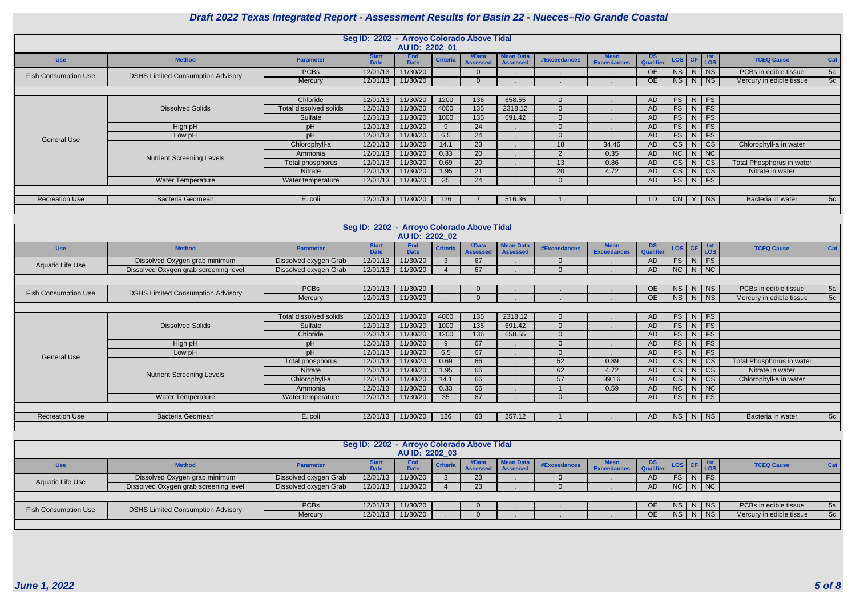

|                             |                                          |                               |                             | Seg ID: 2202 - Arroyo Colorado Above Tidal<br>AU ID: 2202_01 |                 |                          |                                     |                     |                                   |                               |                                                  |                |                        |                                  |     |
|-----------------------------|------------------------------------------|-------------------------------|-----------------------------|--------------------------------------------------------------|-----------------|--------------------------|-------------------------------------|---------------------|-----------------------------------|-------------------------------|--------------------------------------------------|----------------|------------------------|----------------------------------|-----|
| <b>Use</b>                  | <b>Method</b>                            | <b>Parameter</b>              | <b>Start</b><br><b>Date</b> | <b>End</b><br><b>Date</b>                                    | <b>Criteria</b> | #Data<br><b>Assessed</b> | <b>Mean Data</b><br><b>Assessed</b> | <b>#Exceedances</b> | <b>Mean</b><br><b>Exceedances</b> | DS<br>Qualifier               | LOS CF                                           |                | Int<br>LOS             | <b>TCEQ Cause</b>                | Cat |
| <b>Fish Consumption Use</b> | <b>DSHS Limited Consumption Advisory</b> | <b>PCBs</b>                   | 12/01/13                    | 11/30/20                                                     |                 | $\Omega$                 |                                     |                     |                                   | OE                            | NS N                                             |                | $ $ NS                 | PCBs in edible tissue            | 5a  |
|                             |                                          | Mercury                       | 12/01/13                    | 11/30/20                                                     |                 | $\Omega$                 |                                     |                     |                                   | OE                            | NS                                               | N              | N                      | Mercury in edible tissue         | 5c  |
|                             |                                          |                               |                             |                                                              |                 |                          |                                     |                     |                                   |                               |                                                  |                |                        |                                  |     |
|                             |                                          | Chloride                      | 12/01/13                    | 11/30/20                                                     | 1200            | 136                      | 658.55                              | $\overline{0}$      |                                   | AD.                           | $FS \mid N$                                      |                | <b>FS</b>              |                                  |     |
|                             | <b>Dissolved Solids</b>                  | Total dissolved solids        | 12/01/13                    | 11/30/20                                                     | 4000            | 135                      | 2318.12                             | $\Omega$            |                                   | AD                            | $FS$ N                                           |                | FS                     |                                  |     |
|                             |                                          | Sulfate                       | 12/01/13                    | 11/30/20                                                     | 1000            | $135$                    | 691.42                              | $\Omega$            |                                   | <b>AD</b>                     | FS                                               | N              | FS                     |                                  |     |
|                             | High pH                                  | pH                            | 12/01/13                    | 11/30/20                                                     | 9               | 24                       |                                     | $\Omega$            |                                   | AD                            | FS                                               | N.             | FS                     |                                  |     |
| <b>General Use</b>          | Low pH                                   | pH                            | 12/01/13                    | 11/30/20                                                     | 6.5             | $\overline{24}$          |                                     | $\Omega$            |                                   | <b>AD</b>                     | FS                                               | N.             | FS                     |                                  |     |
|                             |                                          | Chlorophyll-a                 | 12/01/13                    | 11/30/20                                                     | 14.1            | 23                       |                                     | 18                  | 34.46                             | <b>AD</b>                     | CS                                               | N              | CS                     | Chlorophyll-a in water           |     |
|                             | <b>Nutrient Screening Levels</b>         | Ammonia                       | 12/01/13                    | 11/30/20                                                     | 0.33            | $\overline{20}$          |                                     | $\overline{2}$      | 0.35                              | AD                            | NC                                               | N              | NC                     |                                  |     |
|                             |                                          | Total phosphorus              | 12/01/13                    | 11/30/20                                                     | 0.69            | $\overline{20}$          |                                     | 13                  | 0.86                              | <b>AD</b>                     | CS                                               | N.             | CS                     | <b>Total Phosphorus in water</b> |     |
|                             |                                          | Nitrate                       | 12/01/13                    | 11/30/20                                                     | 1.95            | 21                       |                                     | 20                  | 4.72                              | AD                            | CS                                               | N              | $\overline{\text{CS}}$ | Nitrate in water                 |     |
|                             | Water Temperature                        | Water temperature             | 12/01/13                    | 11/30/20                                                     | 35              | 24                       |                                     | $\Omega$            |                                   | <b>AD</b>                     | FS                                               | N <sub>1</sub> | FS                     |                                  |     |
|                             |                                          |                               |                             |                                                              |                 |                          |                                     |                     |                                   |                               |                                                  |                |                        |                                  |     |
| <b>Recreation Use</b>       | <b>Bacteria Geomean</b>                  | E. coli                       | 12/01/13                    | 11/30/20                                                     | 126             |                          | 516.36                              |                     |                                   | LD                            | $CN$   Y                                         |                | <b>NS</b>              | Bacteria in water                | 5c  |
|                             |                                          |                               |                             |                                                              |                 |                          |                                     |                     |                                   |                               |                                                  |                |                        |                                  |     |
|                             |                                          |                               |                             |                                                              |                 |                          |                                     |                     |                                   |                               |                                                  |                |                        |                                  |     |
|                             |                                          |                               |                             | Seg ID: 2202 - Arroyo Colorado Above Tidal                   |                 |                          |                                     |                     |                                   |                               |                                                  |                |                        |                                  |     |
|                             |                                          |                               |                             | AU ID: 2202 02                                               |                 |                          |                                     |                     |                                   |                               |                                                  |                |                        |                                  |     |
| <b>Use</b>                  | <b>Method</b>                            | <b>Parameter</b>              | <b>Start</b><br><b>Date</b> | <b>End</b><br><b>Date</b>                                    | <b>Criteria</b> | #Data<br><b>Assessed</b> | <b>Mean Data</b><br><b>Assessed</b> | #Exceedances        | <b>Mean</b><br><b>Exceedances</b> | <b>DS</b><br><b>Qualifier</b> | LOS CF                                           |                | Int<br><b>LOS</b>      | <b>TCEQ Cause</b>                | Cat |
| <b>Aquatic Life Use</b>     | Dissolved Oxygen grab minimum            | Dissolved oxygen Grab         | 12/01/13                    | 11/30/20                                                     | $\mathbf{3}$    | 67                       |                                     | $\Omega$            |                                   | AD                            | $FS$ $N$                                         |                | FS                     |                                  |     |
|                             | Dissolved Oxygen grab screening level    | Dissolved oxygen Grab         | 12/01/13                    | 11/30/20                                                     | $\overline{4}$  | 67                       |                                     | $\Omega$            |                                   | <b>AD</b>                     | NC                                               | N              | NC                     |                                  |     |
|                             |                                          |                               |                             |                                                              |                 |                          |                                     |                     |                                   |                               |                                                  |                |                        |                                  |     |
| <b>Fish Consumption Use</b> | <b>DSHS Limited Consumption Advisory</b> | <b>PCBs</b>                   | 12/01/13                    | 11/30/20                                                     |                 |                          |                                     |                     |                                   | <b>OE</b>                     | <b>NS</b>                                        | N              | $ $ NS                 | PCBs in edible tissue            | 5a  |
|                             |                                          | Mercury                       | 12/01/13                    | 11/30/20                                                     |                 | $\Omega$                 |                                     |                     |                                   | <b>OE</b>                     | $NS$ $N$                                         |                | N <sub>S</sub>         | Mercury in edible tissue         | 5c  |
|                             |                                          |                               |                             |                                                              |                 |                          |                                     |                     |                                   |                               |                                                  |                |                        |                                  |     |
|                             |                                          | <b>Total dissolved solids</b> | 12/01/13                    | 11/30/20                                                     | 4000            | 135                      | 2318.12                             | $\Omega$            |                                   | AD                            | FS                                               | N              | <b>FS</b>              |                                  |     |
|                             | <b>Dissolved Solids</b>                  | Sulfate                       | 12/01/13                    | 11/30/20                                                     | 1000            | $\overline{135}$         | 691.42                              | $\overline{0}$      |                                   | AD                            | $FS$ N                                           |                | FS                     |                                  |     |
|                             |                                          | Chloride                      | 12/01/13                    | 11/30/20                                                     | 1200            | 136                      | 658.55                              | $\Omega$            |                                   | <b>AD</b>                     | $FS$ N                                           |                | FS                     |                                  |     |
|                             | High pH                                  | pH                            | 12/01/13                    | 11/30/20                                                     | 9               | 67                       |                                     | $\Omega$            |                                   | <b>AD</b>                     | FS                                               | N              | FS                     |                                  |     |
| <b>General Use</b>          | Low pH                                   | pH                            | 12/01/13                    | 11/30/20                                                     | 6.5             | 67                       |                                     | $\Omega$            |                                   | <b>AD</b>                     | FS                                               | N              | FS                     |                                  |     |
|                             |                                          | Total phosphorus              | 12/01/13                    | 11/30/20                                                     | 0.69            | 66                       |                                     | 52                  | 0.89                              | AD                            | CS N                                             |                | $  \mathsf{CS}  $      | <b>Total Phosphorus in water</b> |     |
|                             | <b>Nutrient Screening Levels</b>         | Nitrate                       | 12/01/13                    | 11/30/20                                                     | 1.95            | 66                       |                                     | 62                  | 4.72                              | <b>AD</b>                     | $CS$ N                                           |                | $  \csc$               | Nitrate in water                 |     |
|                             |                                          | Chlorophyll-a                 | 12/01/13                    | 11/30/20                                                     | 14.1            | 66                       |                                     | 57                  | 39.16                             | AD                            | CS N                                             |                | $  \mathsf{CS}  $      | Chlorophyll-a in water           |     |
|                             |                                          | Ammonia                       | 12/01/13                    | 11/30/20                                                     | 0.33            | 66                       |                                     |                     | 0.59                              | AD                            |                                                  |                | $NC$   $N$   $NC$      |                                  |     |
|                             | <b>Water Temperature</b>                 | Water temperature             | 12/01/13                    | 11/30/20                                                     | 35              | 67                       |                                     | $\overline{0}$      |                                   | AD                            |                                                  |                | $FS$ N FS              |                                  |     |
|                             |                                          |                               |                             |                                                              |                 |                          |                                     |                     |                                   |                               |                                                  |                |                        |                                  |     |
| <b>Recreation Use</b>       | Bacteria Geomean                         | E. coli                       | 12/01/13                    | 11/30/20                                                     | 126             | 63                       | 257.12                              |                     |                                   | AD                            |                                                  |                | NS N NS                | Bacteria in water                | 5c  |
|                             |                                          |                               |                             |                                                              |                 |                          |                                     |                     |                                   |                               |                                                  |                |                        |                                  |     |
|                             |                                          |                               |                             |                                                              |                 |                          |                                     |                     |                                   |                               |                                                  |                |                        |                                  |     |
|                             |                                          |                               |                             | Seg ID: 2202 - Arroyo Colorado Above Tidal                   |                 |                          |                                     |                     |                                   |                               |                                                  |                |                        |                                  |     |
|                             |                                          |                               |                             | AU ID: 2202_03                                               |                 |                          |                                     |                     |                                   |                               |                                                  |                |                        |                                  |     |
| <b>Use</b>                  | <b>Method</b>                            | <b>Parameter</b>              | <b>Start</b>                | End                                                          | <b>Criteria</b> |                          | #Data Mean Data                     | #Exceedances        | <b>Mean</b>                       | <b>DS</b>                     | $\left  \cos \left  \text{ CF } \right  \right $ |                |                        | <b>TCEQ Cause</b>                | Cat |

|                             |                                          |                       | Seg ID: 2202 - Arroyo Colorado Above Tidal |                    |          |                          |                              |              |                                   |           |             |                                                            |                          |     |
|-----------------------------|------------------------------------------|-----------------------|--------------------------------------------|--------------------|----------|--------------------------|------------------------------|--------------|-----------------------------------|-----------|-------------|------------------------------------------------------------|--------------------------|-----|
|                             |                                          |                       |                                            | AU ID: 2202 03     |          |                          |                              |              |                                   |           |             |                                                            |                          |     |
| <b>Use</b>                  | <b>Method</b>                            | <b>Parameter</b>      | <b>Start</b><br><b>Date</b>                | End<br><b>Date</b> | Criteria | #Data<br><b>Assessed</b> | Mean Data<br><b>Assessed</b> | #Exceedances | <b>Mean</b><br><b>Exceedances</b> | Qualifier |             | $\left  \text{Los} \right $ CF $\left  \text{Inr} \right $ | <b>TCEQ Cause</b>        | Cat |
| Aquatic Life Use            | Dissolved Oxygen grab minimum            | Dissolved oxygen Grab | 12/01/13                                   | 11/30/20           |          | 23                       |                              |              |                                   |           |             | FS NFS                                                     |                          |     |
|                             | Dissolved Oxygen grab screening level    | Dissolved oxygen Grab | 12/01/13                                   | 11/30/20           |          | 23                       |                              |              |                                   | AD.       | $NC$ N $NC$ |                                                            |                          |     |
|                             |                                          |                       |                                            |                    |          |                          |                              |              |                                   |           |             |                                                            |                          |     |
| <b>Fish Consumption Use</b> | <b>DSHS Limited Consumption Advisory</b> | <b>PCBs</b>           | 12/01/13                                   | 11/30/20           |          |                          |                              |              |                                   | OE.       |             | NS N NS                                                    | PCBs in edible tissue    | 5a  |
|                             |                                          | Mercury               | 12/01/13                                   | 11/30/20           |          |                          |                              |              |                                   | <b>OE</b> |             | NS   N   NS                                                | Mercury in edible tissue | 5c  |
|                             |                                          |                       |                                            |                    |          |                          |                              |              |                                   |           |             |                                                            |                          |     |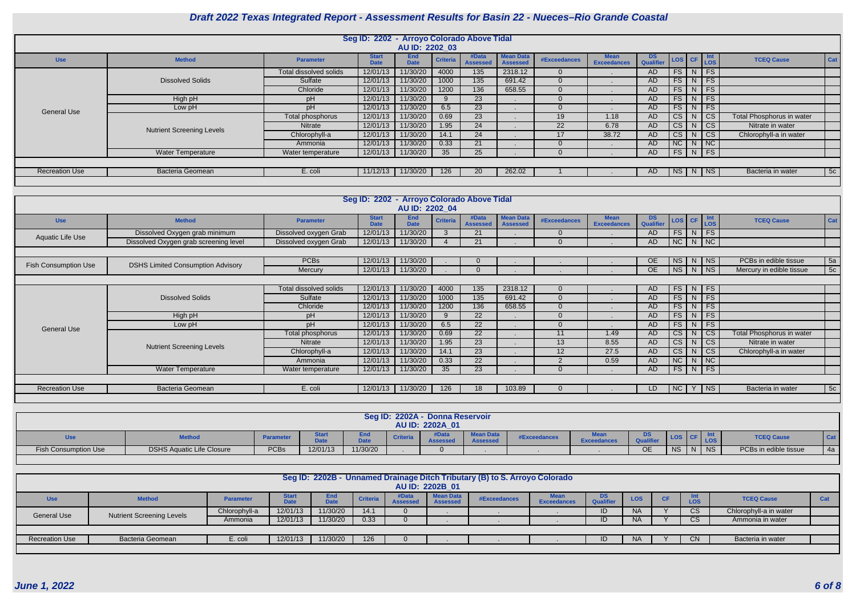

|                             |                                                              |                         | Seg ID: 2202 - Arroyo Colorado Above Tidal | AU ID: 2202_03            |                  |                          |                                     |                     |                                   |                        |                        |                |                             |                                  |     |
|-----------------------------|--------------------------------------------------------------|-------------------------|--------------------------------------------|---------------------------|------------------|--------------------------|-------------------------------------|---------------------|-----------------------------------|------------------------|------------------------|----------------|-----------------------------|----------------------------------|-----|
| <b>Use</b>                  | <b>Method</b>                                                | <b>Parameter</b>        | <b>Start</b><br><b>Date</b>                | <b>End</b><br><b>Date</b> | <b>Criteria</b>  | #Data<br><b>Assessed</b> | <b>Mean Data</b><br><b>Assessed</b> | <b>#Exceedances</b> | <b>Mean</b><br><b>Exceedances</b> | <b>DS</b><br>Qualifier | LOS CF                 |                | Int<br>LOS                  | <b>TCEQ Cause</b>                | Cat |
|                             |                                                              | Total dissolved solids  | 12/01/13                                   | 11/30/20                  | 4000             | $\overline{135}$         | 2318.12                             | $\Omega$            |                                   | AD                     | $FS$ N                 |                | FS                          |                                  |     |
|                             | <b>Dissolved Solids</b>                                      | Sulfate                 | 12/01/13                                   | 11/30/20                  | 1000             | $\overline{135}$         | 691.42                              | $\overline{0}$      |                                   | AD                     | $FS$ N                 |                | FS                          |                                  |     |
|                             |                                                              | Chloride                | 12/01/13                                   | 11/30/20                  | 1200             | 136                      | 658.55                              | $\overline{0}$      |                                   | AD                     | FS                     | N              | FS                          |                                  |     |
|                             | High pH                                                      | pH                      | 12/01/13                                   | 11/30/20                  | 9                | 23                       |                                     | $\overline{0}$      |                                   | AD                     | FS                     | N              | FS                          |                                  |     |
| <b>General Use</b>          | Low pH                                                       | pH                      | 12/01/13                                   | 11/30/20                  | 6.5              | 23                       |                                     | $\overline{0}$      |                                   | AD                     | FS                     | N              | $\overline{FS}$             |                                  |     |
|                             |                                                              | <b>Total phosphorus</b> | 12/01/13                                   | 11/30/20                  | 0.69             | $\overline{23}$          |                                     | 19                  | 1.18                              | <b>AD</b>              | $\overline{\text{CS}}$ | N              | $\overline{\text{CS}}$      | <b>Total Phosphorus in water</b> |     |
|                             | <b>Nutrient Screening Levels</b>                             | Nitrate                 | 12/01/13                                   | 11/30/20                  | 1.95             | $\overline{24}$          |                                     | $\overline{22}$     | 6.78                              | AD                     | $\overline{c}$ s       | N              | $\overline{c}$ s            | Nitrate in water                 |     |
|                             |                                                              | Chlorophyll-a           | 12/01/13                                   | 11/30/20                  | 14.1             | $\overline{24}$          |                                     | 17                  | 38.72                             | AD                     | $\overline{\text{cs}}$ | N              | $\overline{\text{CS}}$      | Chlorophyll-a in water           |     |
|                             |                                                              | Ammonia                 | 12/01/13                                   | 11/30/20                  | 0.33             | 21                       |                                     | $\overline{0}$      |                                   | <b>AD</b>              | NC                     | N              | NC                          |                                  |     |
|                             | <b>Water Temperature</b>                                     | Water temperature       | 12/01/13                                   | 11/30/20                  | 35               | $\overline{25}$          |                                     | $\Omega$            |                                   | <b>AD</b>              | FS                     | N              | FS                          |                                  |     |
|                             |                                                              |                         |                                            |                           |                  |                          |                                     |                     |                                   |                        |                        |                |                             |                                  |     |
| <b>Recreation Use</b>       | <b>Bacteria Geomean</b>                                      | E. coli                 | 11/12/13                                   | 11/30/20                  | $\overline{126}$ | 20                       | 262.02                              |                     |                                   | AD.                    | NS N                   |                | $ $ NS                      | Bacteria in water                | 5c  |
|                             |                                                              |                         |                                            |                           |                  |                          |                                     |                     |                                   |                        |                        |                |                             |                                  |     |
|                             |                                                              |                         |                                            |                           |                  |                          |                                     |                     |                                   |                        |                        |                |                             |                                  |     |
|                             |                                                              |                         |                                            |                           |                  |                          |                                     |                     |                                   |                        |                        |                |                             |                                  |     |
|                             | Seg ID: 2202 - Arroyo Colorado Above Tidal<br>AU ID: 2202_04 |                         |                                            |                           |                  |                          |                                     |                     |                                   |                        |                        |                |                             |                                  |     |
| <b>Use</b>                  | <b>Method</b>                                                | <b>Parameter</b>        | <b>Start</b><br><b>Date</b>                | <b>End</b><br><b>Date</b> | <b>Criteria</b>  | #Data<br><b>Assessed</b> | <b>Mean Data</b><br><b>Assessed</b> | <b>#Exceedances</b> | <b>Mean</b><br><b>Exceedances</b> | <b>DS</b><br>Qualifier | LOS CF                 |                | Int<br>LOS                  | <b>TCEQ Cause</b>                | Cat |
| Aquatic Life Use            | Dissolved Oxygen grab minimum                                | Dissolved oxygen Grab   | 12/01/13                                   | 11/30/20                  | $3\phantom{.0}$  | 21                       |                                     | $\overline{0}$      |                                   | AD                     | $FS$ N                 |                | FS                          |                                  |     |
|                             | Dissolved Oxygen grab screening level                        | Dissolved oxygen Grab   | 12/01/13                                   | 11/30/20                  | $\overline{4}$   | 21                       |                                     | $\overline{0}$      |                                   | <b>AD</b>              | NC                     | $\overline{N}$ | NC                          |                                  |     |
|                             |                                                              |                         |                                            |                           |                  |                          |                                     |                     |                                   |                        |                        |                |                             |                                  |     |
|                             |                                                              | <b>PCBs</b>             | 12/01/13                                   | 11/30/20                  |                  | 0                        |                                     |                     |                                   | OE.                    | NS                     | N              | NS                          | PCBs in edible tissue            | 5a  |
| <b>Fish Consumption Use</b> | <b>DSHS Limited Consumption Advisory</b>                     | Mercury                 | 12/01/13                                   | 11/30/20                  |                  | $\Omega$                 |                                     |                     |                                   | $\overline{OE}$        | NS N                   |                | $\overline{\mathsf{Ns}}$    | Mercury in edible tissue         | 5c  |
|                             |                                                              |                         |                                            |                           |                  |                          |                                     |                     |                                   |                        |                        |                |                             |                                  |     |
|                             |                                                              | Total dissolved solids  | 12/01/13                                   | 11/30/20                  | 4000             | $\overline{135}$         | 2318.12                             | $\overline{0}$      |                                   | AD.                    | FS                     | N              | <b>FS</b>                   |                                  |     |
|                             | <b>Dissolved Solids</b>                                      | Sulfate                 | 12/01/13                                   | 11/30/20                  | 1000             | $\overline{135}$         | 691.42                              | $\overline{0}$      |                                   | AD                     | $FS$ N                 |                | FS                          |                                  |     |
|                             |                                                              | Chloride                | 12/01/13                                   | 11/30/20                  | 1200             | $\overline{136}$         | 658.55                              | $\overline{0}$      |                                   | AD                     | $FS$ N                 |                | FS                          |                                  |     |
|                             | High pH                                                      | pH                      | 12/01/13                                   | 11/30/20                  | 9                | $\overline{22}$          |                                     | $\Omega$            |                                   | AD                     | FS                     | N              | FS                          |                                  |     |
|                             | Low pH                                                       | pH                      | 12/01/13                                   | 11/30/20                  | 6.5              | $\overline{22}$          |                                     | $\overline{0}$      |                                   | AD                     | FS                     | $\overline{N}$ | FS                          |                                  |     |
| <b>General Use</b>          |                                                              | Total phosphorus        | 12/01/13                                   | 11/30/20                  | 0.69             | $\overline{22}$          |                                     | 11                  | 1.49                              | AD                     | CS                     | N              | <b>CS</b>                   | Total Phosphorus in water        |     |
|                             |                                                              | Nitrate                 | 12/01/13                                   | 11/30/20                  | 1.95             | $\overline{23}$          |                                     | 13                  | 8.55                              | <b>AD</b>              | $\overline{\text{cs}}$ | N              | $\overline{\text{CS}}$      | Nitrate in water                 |     |
|                             | <b>Nutrient Screening Levels</b>                             | Chlorophyll-a           | 12/01/13                                   | 11/30/20                  | 14.1             | $\overline{23}$          |                                     | 12                  | 27.5                              | AD                     | $\overline{\text{cs}}$ | N              | $\overline{\text{CS}}$      | Chlorophyll-a in water           |     |
|                             |                                                              | Ammonia                 | 12/01/13                                   | 11/30/20                  | 0.33             | $\overline{22}$          |                                     | $\overline{2}$      | 0.59                              | <b>AD</b>              | $\overline{NC}$        | N              | $\overline{\text{NC}}$      |                                  |     |
|                             | <b>Water Temperature</b>                                     | Water temperature       | 12/01/13                                   | 11/30/20                  | 35               | 23                       |                                     | $\Omega$            |                                   | <b>AD</b>              | $FS$ N                 |                | $\overline{\phantom{a}}$ FS |                                  |     |
|                             |                                                              |                         |                                            |                           |                  |                          |                                     |                     |                                   |                        |                        |                |                             |                                  |     |
| <b>Recreation Use</b>       | <b>Bacteria Geomean</b>                                      | E. coli                 | 12/01/13                                   | 11/30/20                  | 126              | 18                       | 103.89                              | $\Omega$            |                                   | LD                     | NC                     | Y              | NS                          | Bacteria in water                | 5c  |
|                             |                                                              |                         |                                            |                           |                  |                          |                                     |                     |                                   |                        |                        |                |                             |                                  |     |
|                             |                                                              |                         |                                            |                           |                  |                          |                                     |                     |                                   |                        |                        |                |                             |                                  |     |

|                             |                                  |                  |          |                             |               | Seg ID: 2202A - Donna Reservoir<br>AU ID: 2202A 01 |                               |                     |                    |              |           |                    |                       |    |
|-----------------------------|----------------------------------|------------------|----------|-----------------------------|---------------|----------------------------------------------------|-------------------------------|---------------------|--------------------|--------------|-----------|--------------------|-----------------------|----|
| ust                         | <b>Method</b>                    | <b>Parameter</b> |          | ᄃᅠᆇᆋ<br>∠na<br>$\sim$ 4 $-$ | <b>Criter</b> | $\frac{1}{2}$                                      | <b>Mean Data</b><br>$\lambda$ | <b>#Exceedances</b> | <b>Exceedances</b> | DS.<br>0.001 |           | <b>LOS</b>         | <b>TCEQ Cause</b>     |    |
| <b>Fish Consumption Use</b> | <b>DSHS Aquatic Life Closure</b> | <b>PCBs</b>      | 12/01/13 | 11/30/20                    |               |                                                    |                               |                     |                    | OE           | <b>NS</b> | NS<br>$\mathbf{N}$ | PCBs in edible tissue | 4a |

|                       |                                                                                                                                                                                                                                                                                                                                  |               |          |          |      |  | AU ID: 2202B_01 | Seg ID: 2202B - Unnamed Drainage Ditch Tributary (B) to S. Arroyo Colorado |  |  |           |  |                        |                        |  |
|-----------------------|----------------------------------------------------------------------------------------------------------------------------------------------------------------------------------------------------------------------------------------------------------------------------------------------------------------------------------|---------------|----------|----------|------|--|-----------------|----------------------------------------------------------------------------|--|--|-----------|--|------------------------|------------------------|--|
| <b>Use</b>            | <b>Mean Data</b><br><b>End</b><br>#Data<br>DS.<br><b>Start</b><br><b>CF</b><br><b>Criteria</b><br><b>TCEQ Cause</b><br><b>Method</b><br><b>LOS</b><br>Cat<br><b>#Exceedances</b><br><b>Parameter</b><br><b>Exceedances</b><br><b>Qualifier</b><br><b>Date</b><br><b>LOS</b><br><b>Assessed</b><br><b>Assessed</b><br><b>Date</b> |               |          |          |      |  |                 |                                                                            |  |  |           |  |                        |                        |  |
| <b>General Use</b>    | <b>Nutrient Screening Levels</b>                                                                                                                                                                                                                                                                                                 | Chlorophyll-a | 12/01/13 | 11/30/20 | 14.1 |  |                 |                                                                            |  |  | <b>NA</b> |  | $\overline{\text{CS}}$ | Chlorophyll-a in water |  |
|                       |                                                                                                                                                                                                                                                                                                                                  | Ammonia       | 12/01/13 | 11/30/20 | 0.33 |  |                 |                                                                            |  |  | <b>NA</b> |  | <b>CS</b>              | Ammonia in water       |  |
|                       |                                                                                                                                                                                                                                                                                                                                  |               |          |          |      |  |                 |                                                                            |  |  |           |  |                        |                        |  |
| <b>Recreation Use</b> | <b>Bacteria Geomean</b>                                                                                                                                                                                                                                                                                                          | E. coli       | 12/01/13 | 11/30/20 | 126  |  |                 |                                                                            |  |  | <b>NA</b> |  | <b>CN</b>              | Bacteria in water      |  |
|                       |                                                                                                                                                                                                                                                                                                                                  |               |          |          |      |  |                 |                                                                            |  |  |           |  |                        |                        |  |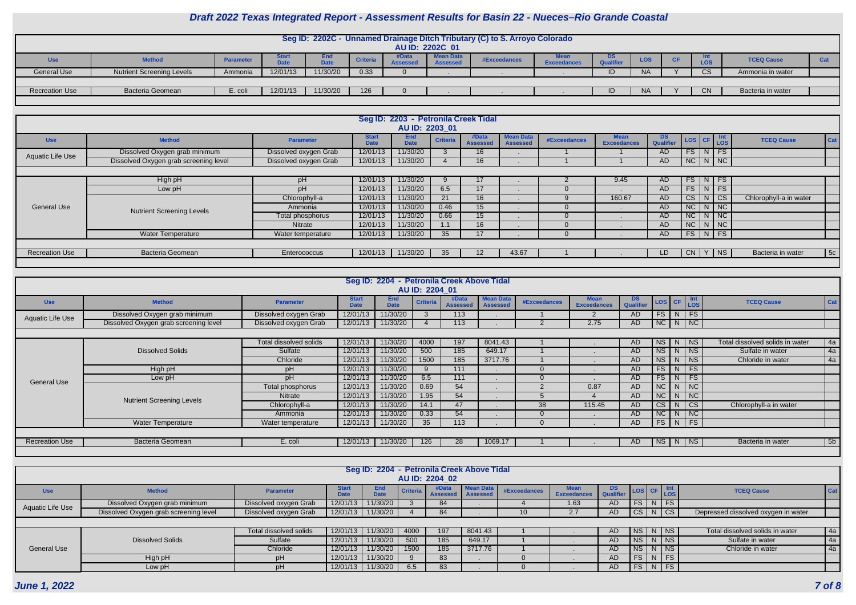| Seg ID: 2202C - Unnamed Drainage Ditch Tributary (C) to S. Arroyo Colorado |                                  |                  |              |             |                 |  |                  |                     |                    |                  |            |           |            |                   |     |
|----------------------------------------------------------------------------|----------------------------------|------------------|--------------|-------------|-----------------|--|------------------|---------------------|--------------------|------------------|------------|-----------|------------|-------------------|-----|
|                                                                            |                                  |                  |              |             |                 |  |                  |                     |                    |                  |            |           |            |                   |     |
|                                                                            | AU ID: 2202C 01                  |                  |              |             |                 |  |                  |                     |                    |                  |            |           |            |                   |     |
|                                                                            |                                  |                  |              |             |                 |  |                  |                     |                    |                  |            |           |            |                   |     |
| <b>Use</b>                                                                 | <b>Method</b>                    | <b>Parameter</b> | <b>Start</b> | End         | <b>Criteria</b> |  | <b>Mean Data</b> | <b>#Exceedances</b> | <b>Mean</b>        | DS               | <b>LOS</b> | <b>CF</b> |            | <b>TCEQ Cause</b> | Cat |
|                                                                            |                                  |                  | Date         | <b>Date</b> |                 |  | <b>Assessed</b>  |                     | <b>Exceedances</b> | <b>Qualifier</b> |            |           | <b>LOS</b> |                   |     |
|                                                                            |                                  |                  |              |             |                 |  |                  |                     |                    |                  |            |           |            |                   |     |
| <b>General Use</b>                                                         | <b>Nutrient Screening Levels</b> | Ammonia          | 12/01/13     | 11/30/20    | 0.33            |  |                  |                     |                    |                  | <b>NA</b>  |           | vc         | Ammonia in water  |     |
|                                                                            |                                  |                  |              |             |                 |  |                  |                     |                    |                  |            |           |            |                   |     |
|                                                                            |                                  |                  |              |             |                 |  |                  |                     |                    |                  |            |           |            |                   |     |
| <b>Recreation Use</b>                                                      | <b>Bacteria Geomean</b>          | E. coli          | 12/01/13     | 11/30/20    | 126             |  |                  |                     |                    |                  | <b>NA</b>  |           | <b>CN</b>  | Bacteria in water |     |
|                                                                            |                                  |                  |              |             |                 |  |                  |                     |                    |                  |            |           |            |                   |     |
|                                                                            |                                  |                  |              |             |                 |  |                  |                     |                    |                  |            |           |            |                   |     |

| Seg ID: 2203 - Petronila Creek Tidal<br>AU ID: 2203 01 |                                  |                       |                             |                           |                 |                          |                                     |              |                                   |                         |                    |   |                             |                                 |
|--------------------------------------------------------|----------------------------------|-----------------------|-----------------------------|---------------------------|-----------------|--------------------------|-------------------------------------|--------------|-----------------------------------|-------------------------|--------------------|---|-----------------------------|---------------------------------|
| <b>Use</b>                                             | <b>Method</b>                    | <b>Parameter</b>      | <b>Start</b><br><b>Date</b> | <b>End</b><br><b>Date</b> | <b>Criteria</b> | #Data<br><b>Assessed</b> | <b>Mean Data</b><br><b>Assessed</b> | #Exceedances | <b>Mean</b><br><b>Exceedances</b> | DS.<br><b>Qualifier</b> | LOS CF Int         |   |                             | <b>TCEQ Cause</b><br>Cat        |
| Aquatic Life Use                                       | Dissolved Oxygen grab minimum    | Dissolved oxygen Grab | 12/01/13                    | 11/30/20                  |                 | 16 <sup>°</sup>          |                                     |              |                                   | AD.                     | $FS$ N FS          |   |                             |                                 |
| Dissolved Oxygen grab screening level                  | Dissolved oxygen Grab            | 12/01/13              | 11/30/20                    |                           | 16              |                          |                                     |              | AD                                | $NC$ $N$ $NC$           |                    |   |                             |                                 |
|                                                        |                                  |                       |                             |                           |                 |                          |                                     |              |                                   |                         |                    |   |                             |                                 |
|                                                        | High pH                          | pH                    | 12/01/13                    | 11/30/20                  |                 | 17                       |                                     |              | 9.45                              | AD                      | $FS\mid N \mid FS$ |   |                             |                                 |
|                                                        | Low pH                           | pH                    | 12/01/13                    | 11/30/20                  | 6.5             | 17                       |                                     |              |                                   | AD.                     | FS                 |   | $N$ FS                      |                                 |
|                                                        | <b>Nutrient Screening Levels</b> | Chlorophyll-a         | 12/01/13                    | 11/30/20                  | 21              | 16 <sup>°</sup>          |                                     |              | 160.67                            | AD.                     | CS                 | N | $\overline{\phantom{a}}$ CS | Chlorophyll-a in water          |
| <b>General Use</b>                                     |                                  | Ammonia               | 12/01/13                    | 11/30/20                  | 0.46            | 15 <sup>1</sup>          |                                     |              |                                   | AD                      | $NC$   N   NC      |   |                             |                                 |
|                                                        |                                  | Total phosphorus      | 12/01/13                    | 11/30/20                  | 0.66            | 15 <sup>1</sup>          |                                     |              |                                   | AD.                     | $NC$ $N$ $NC$      |   |                             |                                 |
|                                                        |                                  | <b>Nitrate</b>        | 12/01/13                    | 11/30/20                  |                 | 16 <sup>°</sup>          |                                     |              |                                   | AD.                     | NC                 | N | $\overline{\phantom{a}}$ NC |                                 |
|                                                        | <b>Water Temperature</b>         | Water temperature     | 12/01/13                    | 11/30/20                  | 35 <sub>2</sub> | 17                       |                                     |              |                                   | AD.                     | $FS$ $N$ $FS$      |   |                             |                                 |
|                                                        |                                  |                       |                             |                           |                 |                          |                                     |              |                                   |                         |                    |   |                             |                                 |
| <b>Recreation Use</b>                                  | <b>Bacteria Geomean</b>          | Enterococcus          | 12/01/13                    | 11/30/20                  | 35              | 12 <sup>2</sup>          | 43.67                               |              |                                   | LD.                     | CN                 | Y | $ $ NS                      | $\vert$ 5c<br>Bacteria in water |
|                                                        |                                  |                       |                             |                           |                 |                          |                                     |              |                                   |                         |                    |   |                             |                                 |

| Seg ID: 2204 - Petronila Creek Above Tidal |                                       |                        |                             |                           |                 |                          |                                     |              |                                   |                  |                        |    |                             |                                 |                |
|--------------------------------------------|---------------------------------------|------------------------|-----------------------------|---------------------------|-----------------|--------------------------|-------------------------------------|--------------|-----------------------------------|------------------|------------------------|----|-----------------------------|---------------------------------|----------------|
| AU ID: 2204 01                             |                                       |                        |                             |                           |                 |                          |                                     |              |                                   |                  |                        |    |                             |                                 |                |
| <b>Use</b>                                 | <b>Method</b>                         | <b>Parameter</b>       | <b>Start</b><br><b>Date</b> | <b>End</b><br><b>Date</b> | <b>Criteria</b> | #Data<br><b>Assessed</b> | <b>Mean Data</b><br><b>Assessed</b> | #Exceedances | <b>Mean</b><br><b>Exceedances</b> | DS.<br>Qualifier |                        |    | LOS CF Int                  | <b>TCEQ Cause</b>               | Cat            |
| <b>Aquatic Life Use</b>                    | Dissolved Oxygen grab minimum         | Dissolved oxygen Grab  | 12/01/13                    | 11/30/20                  |                 | 113                      |                                     |              |                                   | <b>AD</b>        | FS                     | N  | FS                          |                                 |                |
|                                            | Dissolved Oxygen grab screening level | Dissolved oxygen Grab  | 12/01/13                    | 11/30/20                  |                 | 113                      |                                     |              | 2.75                              | AD               |                        |    | $NC$ $N$ $NC$               |                                 |                |
|                                            |                                       |                        |                             |                           |                 |                          |                                     |              |                                   |                  |                        |    |                             |                                 |                |
|                                            | <b>Dissolved Solids</b>               | Total dissolved solids | 12/01/13                    | 11/30/20                  | 4000            | 197                      | 8041.43                             |              |                                   | AD               | <b>NS</b>              | N. | ∣ NS                        | Total dissolved solids in water | 4a             |
|                                            |                                       | Sulfate                | 12/01/13                    | 11/30/20                  | 500             | 185                      | 649.17                              |              | $\mathbf{r}$                      | AD               | <b>NS</b>              | N  | $ $ NS                      | Sulfate in water                | 4a             |
|                                            |                                       | Chloride               | 12/01/13                    | 11/30/20                  | 1500            | 185                      | 3717.76                             |              |                                   | AD               | <b>NS</b>              | N. | $ $ NS                      | Chloride in water               | 4a             |
|                                            | High pH                               | pH                     | 12/01/13                    | 11/30/20                  | 9               | 111                      |                                     |              | $\mathbf{r}$                      | AD               | FS                     | N  | $\overline{\phantom{a}}$ FS |                                 |                |
| <b>General Use</b>                         | Low pH                                | pH                     | 12/01/13                    | 11/30/20                  | 6.5             | 111                      |                                     |              |                                   | AD               | <b>FS</b>              | N  | $\overline{\phantom{a}}$ FS |                                 |                |
|                                            |                                       | Total phosphorus       | 12/01/13                    | 11/30/20                  | 0.69            | 54                       |                                     |              | 0.87                              | <b>AD</b>        | $\overline{\text{NC}}$ | N  | $\overline{\phantom{a}}$ NC |                                 |                |
|                                            | <b>Nutrient Screening Levels</b>      | Nitrate                | 12/01/13                    | 11/30/20                  | 1.95            | 54                       |                                     |              |                                   | AD               | $\overline{\text{NC}}$ | N. | $\overline{\phantom{a}}$ NC |                                 |                |
|                                            |                                       | Chlorophyll-a          | 12/01/13                    | 11/30/20                  | 14.1            | 47                       |                                     | 38           | 115.45                            | AD               | $\overline{\text{CS}}$ |    | l cs                        | Chlorophyll-a in water          |                |
|                                            |                                       | Ammonia                | 12/01/13                    | 11/30/20                  | 0.33            | 54                       |                                     |              |                                   | AD               | <b>NC</b>              | N  | NC                          |                                 |                |
|                                            | <b>Water Temperature</b>              | Water temperature      | 12/01/13                    | 11/30/20                  | 35              | 113                      |                                     |              |                                   | AD               | <b>FS</b>              |    | $N$ FS                      |                                 |                |
|                                            |                                       |                        |                             |                           |                 |                          |                                     |              |                                   |                  |                        |    |                             |                                 |                |
| <b>Recreation Use</b>                      | <b>Bacteria Geomean</b>               | E. coli                | 12/01/13                    | 11/30/20                  | 126             | 28                       | 1069.17                             |              |                                   | AD               | <b>NS</b>              |    | N   NS                      | Bacteria in water               | 5 <sub>b</sub> |
|                                            |                                       |                        |                             |                           |                 |                          |                                     |              |                                   |                  |                        |    |                             |                                 |                |

|                                       | Seg ID: 2204 - Petronila Creek Above Tidal<br>AU ID: 2204 02 |                               |              |                    |          |                            |                  |              |                                   |                   |  |  |               |                                     |            |
|---------------------------------------|--------------------------------------------------------------|-------------------------------|--------------|--------------------|----------|----------------------------|------------------|--------------|-----------------------------------|-------------------|--|--|---------------|-------------------------------------|------------|
| <b>Use</b>                            | <b>Method</b>                                                | <b>Parameter</b>              | <b>Start</b> | End<br><b>Date</b> | Criteria | #Data<br>Assessed Assessed | <b>Mean Data</b> | #Exceedances | <b>Mean</b><br><b>Exceedances</b> | DS<br>  Qualifier |  |  | LOS CF Int    | <b>TCEQ Cause</b>                   | <b>Cat</b> |
| Aquatic Life Use                      | Dissolved Oxygen grab minimum                                | Dissolved oxygen Grab         | 12/01/13     | 11/30/20           |          | 84                         |                  |              | 1.63                              | AD.               |  |  | $FS$ N FS     |                                     |            |
| Dissolved Oxygen grab screening level |                                                              | Dissolved oxygen Grab         |              | 12/01/13 11/30/20  |          | 84                         |                  |              | 2.7                               | AD                |  |  | CS N CS       | Depressed dissolved oxygen in water |            |
|                                       |                                                              |                               |              |                    |          |                            |                  |              |                                   |                   |  |  |               |                                     |            |
|                                       |                                                              | <b>Total dissolved solids</b> | 12/01/13     | 11/30/20           | 4000     | 197                        | 8041.43          |              |                                   | AD.               |  |  | NS N NS       | Total dissolved solids in water     | 4a         |
|                                       | <b>Dissolved Solids</b>                                      | Sulfate                       | 12/01/13     | 11/30/20           | 500      | 185                        | 649.17           |              |                                   | AD                |  |  | $NS$ $N$ $NS$ | Sulfate in water                    | 4a         |
| <b>General Use</b>                    |                                                              | Chloride                      | 12/01/13     | 11/30/20           | 1500     | 185                        | 3717.76          |              |                                   | AD.               |  |  | NS N NS       | Chloride in water                   | 4a         |
|                                       | High pH                                                      | pН                            | 12/01/13     | 11/30/20           |          | 83                         |                  |              |                                   | AD.               |  |  | $FS$ N FS     |                                     |            |
|                                       | Low pH                                                       |                               | 12/01/13     | 11/30/20           | 6.5      | 83                         |                  |              |                                   | AD                |  |  | $FS$ N FS     |                                     |            |